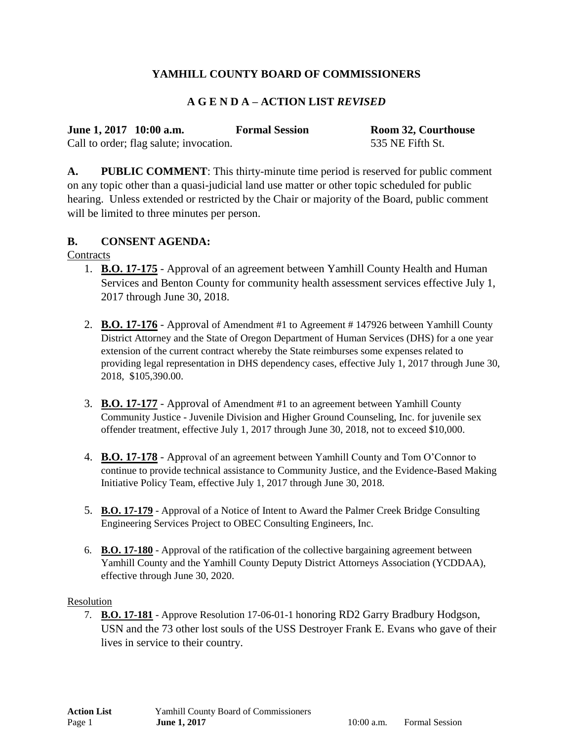# **YAMHILL COUNTY BOARD OF COMMISSIONERS**

### **A G E N D A – ACTION LIST** *REVISED*

|                         | <b>Formal Session</b> |
|-------------------------|-----------------------|
| June 1, 2017 10:00 a.m. |                       |

**Room 32, Courthouse** Call to order; flag salute; invocation. 535 NE Fifth St.

**A. PUBLIC COMMENT**: This thirty-minute time period is reserved for public comment on any topic other than a quasi-judicial land use matter or other topic scheduled for public hearing. Unless extended or restricted by the Chair or majority of the Board, public comment will be limited to three minutes per person.

### **B. CONSENT AGENDA:**

**Contracts** 

- 1. **B.O. 17-175** Approval of an agreement between Yamhill County Health and Human Services and Benton County for community health assessment services effective July 1, 2017 through June 30, 2018.
- 2. **B.O. 17-176** Approval of Amendment #1 to Agreement # 147926 between Yamhill County District Attorney and the State of Oregon Department of Human Services (DHS) for a one year extension of the current contract whereby the State reimburses some expenses related to providing legal representation in DHS dependency cases, effective July 1, 2017 through June 30, 2018, \$105,390.00.
- 3. **B.O. 17-177** Approval of Amendment #1 to an agreement between Yamhill County Community Justice - Juvenile Division and Higher Ground Counseling, Inc. for juvenile sex offender treatment, effective July 1, 2017 through June 30, 2018, not to exceed \$10,000.
- 4. **B.O. 17-178** Approval of an agreement between Yamhill County and Tom O'Connor to continue to provide technical assistance to Community Justice, and the Evidence-Based Making Initiative Policy Team, effective July 1, 2017 through June 30, 2018.
- 5. **B.O. 17-179** Approval of a Notice of Intent to Award the Palmer Creek Bridge Consulting Engineering Services Project to OBEC Consulting Engineers, Inc.
- 6. **B.O. 17-180** Approval of the ratification of the collective bargaining agreement between Yamhill County and the Yamhill County Deputy District Attorneys Association (YCDDAA), effective through June 30, 2020.

#### Resolution

7. **B.O. 17-181** - Approve Resolution 17-06-01-1 honoring RD2 Garry Bradbury Hodgson, USN and the 73 other lost souls of the USS Destroyer Frank E. Evans who gave of their lives in service to their country.